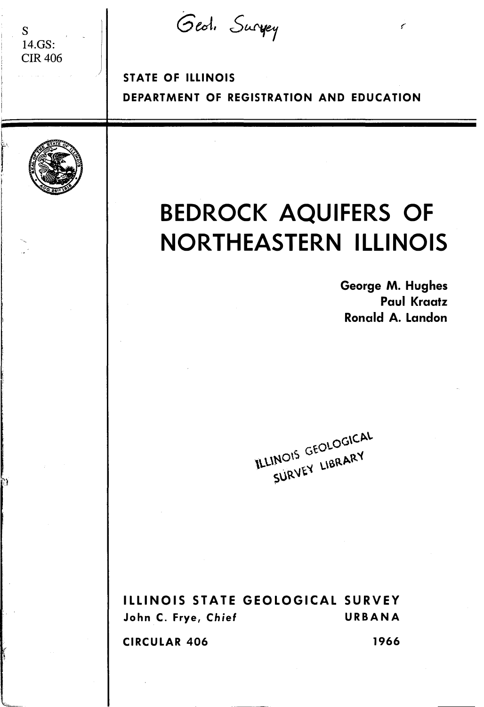Geol. Survey

 $\downarrow$ r<br>Fransk konge<br>Fransk konge

'n

s 14.GS: CIR406

> STATE OF ILLINOIS DEPARTMENT OF REGISTRATION AND EDUCATION

# BEDROCK AQUIFERS OF NORTHEASTERN ILLINOIS

George M. Hughes Paul Kraatz Ronald A. Landon

é

TLLINOIS GEOLOGICAL INOIS GEOLOGY

ILLINOIS STATE GEOLOGICAL SURVEY John C. Frye, Chief URBANA CIRCULAR 406 1966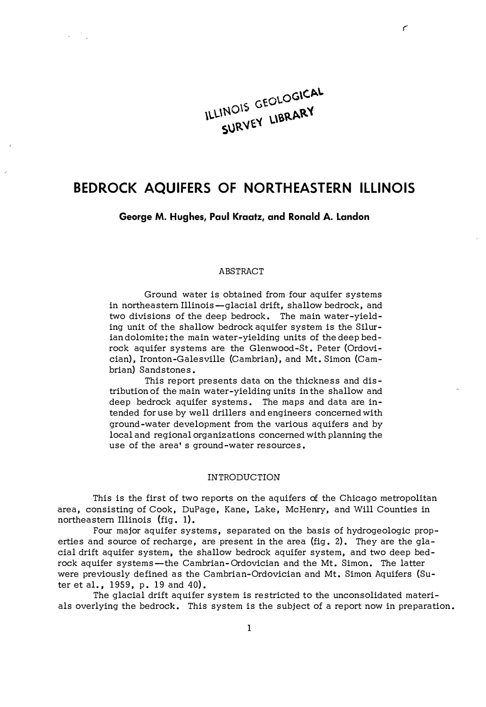# ILLINOIS GEOLOGICAL SURVEY LIBRARY

¢

# BEDROCK AQUIFERS OF NORTHEASTERN ILLINOIS

George M. Hughes, Paul Kraatz, and Ronald A. Landon

#### ABSTRACT

Ground water is obtained from four aquifer systems in northeastern Illinois-glacial drift, shallow bedrock, and two divisions of the deep bedrock. The main water -yielding unit of the shallow bedrock aquifer system is the Silurian dolomite; the main water -yielding units of the deep bedrock aquifer systems are the Glenwood-St. Peter {Ordovician), Ironton-Galesville {Cambrian), and Mt. Simon {Cambrian) Sandstones.

This report presents data on the thickness and distribution of the main water-yielding units in the shallow and deep bedrock aquifer systems. The maps and data are intended for use by well drillers and engineers concerned with ground-water development from the various aquifers and by local and regional organizations concerned with planning the use of the area's ground-water resources.

### INTRODUCTION

This is the first of two reports on the aquifers of the Chicago metropolitan area, consisting of Cook, DuPage, Kane, Lake, McHenry, and Will Counties in northeastern Illinois {fig. 1).

Four major aquifer systems, separated on the basis of hydrogeologic properties and source of recharge, are present in the area {fig. 2). They are the glacial drift aquifer system, the shallow bedrock aquifer system, and two deep bedrock aquifer systems-the Cambrian-Ordovician and the Mt. Simon. The latter were previously defined as the Cambrian-Ordovician and Mt. Simon Aquifers {Suter et al., 1959, p. 19 and 40).

The glacial drift aquifer system is restricted to the unconsolidated materials overlying the bedrock. This system is the subject of a report now in preparation.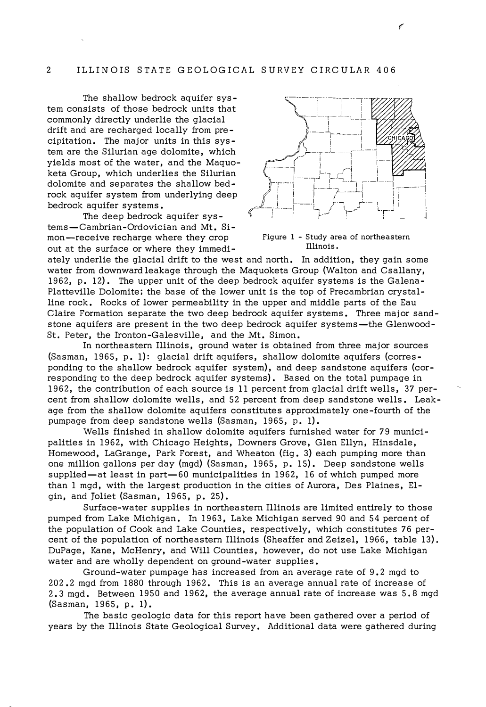The shallow bedrock aquifer sys tem consists of those bedrock units that commonly directly underlie the glacial drift and are recharged locally from pre cipitation. The major units in this system are the Silurian age dolomite, which yields most of the water, and the Maquoketa Group, which underlies the Silurian dolomite and separates the shallow bedrock aquifer system from underlying deep bedrock aquifer systems.

The deep bedrock aquifer sys tems-Cambrian-Ordovician and Mt. Simon-receive recharge where they crop Figure 1 - Study area of northeastern out at the surface or where they immedi -



€

Illinois·

ately underlie the glacial drift to the west and north. In addition, they gain some water from downward leakage through the Maquoketa Group (Walton and Csallany, 1962, p. 12). The upper unit of the deep bedrock aquifer systems is the Galena-Platteville Dolomite; the base of the lower unit is the top of Precambrian crystalline rock. Rocks of lower permeability in the upper and middle parts of the Eau Claire Formation separate the two deep bedrock aquifer systems. Three major sandstone aquifers are present in the two deep bedrock aquifer systems—the Glenwood-St. Peter, the Ironton-Galesville, and the Mt. Simon.

In northeastern Illinois, ground water is obtained from three major sources (Sasman, 1965, p. 1): glacial drift aquifers, shallow dolomite aquifers (corresponding to the shallow bedrock aquifer system), and deep sandstone aquifers (corresponding to the deep bedrock aquifer systems). Based on the total pumpage in 1962, the contribution of each source is 11 percent from glacial drift wells, 37 percent from shallow dolomite wells, and 52 percent from deep sandstone wells. Leakage from the shallow dolomite aquifers constitutes approximately one-fourth of the pumpage from deep sandstone wells (Sasman, 1965, p. 1).

Wells finished in shallow dolomite aquifers furnished water for 79 municipalities in 1962, with Chicago Heights, Downers Grove, Glen Ellyn, Hinsdale, Homewood, LaGrange, Park Forest, and Wheaton (fig. 3) each pumping more than one million gallons per day (mgd) (Sasman, 1965, p. 15). Deep sandstone wells supplied—at least in part—60 municipalities in  $1962$ , 16 of which pumped more than 1 mgd, with the largest production in the cities of Aurora, Des Plaines, Elgin, and Joliet (Sasman, 1965, p. 25).

Surface-water supplies in northeastern Illinois are limited entirely to those pumped from Lake Michigan. In 1963, Lake Michigan served 90 and 54 percent of the population of Cook and Lake Counties, respectively, which constitutes 76 percent of the population of northeastern Illinois (Sheaffer and Zeizel, 1966, table 13). DuPage, Kane, McHenry, and Will Counties, however, do not use Lake Michigan water and are wholly dependent on ground-water supplies.

Ground-water pumpage has increased from an average rate of 9. 2 mgd to 202.2 mgd from 1880 through 1962. This is an average annual rate of increase of 2. 3 mgd. Between 1950 and 1962, the average annual rate of increase was 5. 8 mgd (Sasman, 1965, p. 1).

The basic geologic data for this report have been gathered over a period of years by the Illinois State Geological Survey. Additional data were gathered during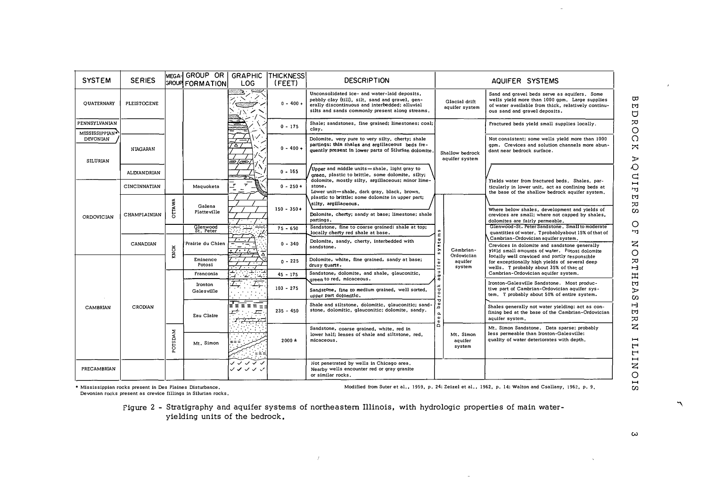| <b>SYSTEM</b>                                               | <b>SERIES</b>  |                     | MEGA-I GROUP OR I<br><b>GROUP FORMATION</b> | LOG                           | <b>GRAPHIC THICKNESS</b><br>(FEET) | <b>DESCRIPTION</b>                                                                                                                                                                                   |                                               | AQUIFER SYSTEMS                                                                                                          |                                                                                                                                                                                                                                                            |
|-------------------------------------------------------------|----------------|---------------------|---------------------------------------------|-------------------------------|------------------------------------|------------------------------------------------------------------------------------------------------------------------------------------------------------------------------------------------------|-----------------------------------------------|--------------------------------------------------------------------------------------------------------------------------|------------------------------------------------------------------------------------------------------------------------------------------------------------------------------------------------------------------------------------------------------------|
| <b>OUATERNARY</b>                                           | PLEISTOCENE    |                     |                                             | <b>COND</b><br>್ಲಾ.           | $0 - 400 +$                        | Unconsolidated ice- and water-laid deposits.<br>pebbly clay (till), silt, sand and gravel, gen-<br>erally discontinuous and interbedded; alluvial<br>silts and sands commonly present along streams. |                                               | Glacial drift<br>aquifer system                                                                                          | Sand and gravel beds serve as aquifers, Some<br>wells yield more than 1000 gpm. Large supplies<br>of water available from thick, relatively continu-<br>ous sand and gravel deposits.                                                                      |
| PENNSYLVANIAN                                               |                |                     |                                             |                               | $0 - 175$                          | Shale; sandstones, fine grained; limestones; coal;<br>clav.                                                                                                                                          |                                               |                                                                                                                          | Fractured beds yield small supplies locally.                                                                                                                                                                                                               |
| <b>MISSISSIPPIAN*</b><br><b>DEVONIAN</b><br><b>SILURIAN</b> | NIAGARAN       |                     |                                             | A<br>9/æ1                     | $0 - 400 +$                        | Dolomite, very pure to very silty, cherty; shale<br>partings; thin shales and argillaceous beds fre-<br>quently present in lower parts of Silurian dolomite.                                         |                                               | Shallow bedrock<br>aquifer system                                                                                        | Not consistent; some wells yield more than 1000<br>gpm, Crevices and solution channels more abun-<br>dant near bedrock surface.                                                                                                                            |
|                                                             | ALEXANDRIAN    |                     |                                             |                               | $0 - 165$                          | Upper and middle units—shale, light gray to<br>green, plastic to brittle, some dolomite, silty;                                                                                                      |                                               |                                                                                                                          |                                                                                                                                                                                                                                                            |
|                                                             | CINCINNATIAN   |                     | Maguoketa                                   | $\pmb{\tau}$<br>$\pmb{\tau}$  | $0 - 250 +$                        | dolomite, mostly silty, argillaceous; minor lime-<br>stone.<br>Lower unit-shale, dark gray, black, brown,                                                                                            |                                               |                                                                                                                          | Yields water from fractured beds. Shales, par-<br>ticularly in lower unit, act as confining beds at<br>the base of the shallow bedrock aquifer system,<br>Where below shales, development and yields of<br>crevices are small; where not capped by shales. |
| ORDOVICIAN                                                  | CHAMPIAINIAN   | <b>AWATTC</b>       | Galena<br>Platteville                       |                               | $150 - 350 +$                      | plastic to brittle; some dolomite in upper part;<br>silty, argillaceous.<br>Dolomite, cherty; sandy at base; limestone; shale                                                                        | ε<br>ste                                      |                                                                                                                          |                                                                                                                                                                                                                                                            |
|                                                             |                |                     | Glenwood<br>St. Peter                       | ٠.                            | $75 - 650$                         | partings.<br>Sandstone, fine to coarse grained: shale at top;                                                                                                                                        |                                               |                                                                                                                          | dolomites are fairly permeable,<br>Glenwood-St. Peter Sandstone. Small to moderate                                                                                                                                                                         |
|                                                             |                |                     | Prairie du Chien                            | E                             | $0 - 340$                          | locally cherty red shale at base.<br>Dolomite, sandy, cherty, interbedded with                                                                                                                       |                                               |                                                                                                                          | quantities of water. Tprobablyabout 15% of that of<br>Cambrian-Ordovician aquifer system.                                                                                                                                                                  |
|                                                             | CANADIAN       | KNOX                |                                             | <br>$\cdot$ , , , , , ,<br>┰  |                                    | sandstone.                                                                                                                                                                                           | $\tilde{s}$                                   | Cambrian-<br>Ordovician                                                                                                  | Crevices in dolomite and sandstone generally<br>yield small amounts of water. Potosi dolomite                                                                                                                                                              |
|                                                             |                |                     | Eminence<br>Potosi                          | . <i>. .</i>                  | $0 - 225$                          | Dolomite, white, fine grained, sandy at base;<br>drusy quartz.                                                                                                                                       | quifer                                        | aquifer<br>system                                                                                                        | locally well creviced and partly responsible<br>for exceptionally high yields of several deep<br>wells. T probably about 35% of that of                                                                                                                    |
|                                                             |                |                     | Franconia                                   | ۰.<br>ساعت<br>4 . L. H        | $45 - 175$                         | Sandstone, dolomite, and shale, glauconitic,<br>green to red. micaceous.                                                                                                                             | $\sigma$                                      |                                                                                                                          | Cambrian-Ordovician aquifer system.                                                                                                                                                                                                                        |
| <b>CAMBRIAN</b>                                             | <b>CRODIAN</b> |                     | Ironton<br>Galesville                       | $\tau$ .<br>Ι÷                | $103 - 275$                        | Sandstone, fine to medium grained, well sorted,<br>upper part dolomitic.                                                                                                                             | o c k<br>π<br>۵e<br>a,<br>$\pmb{\omega}$<br>¢ |                                                                                                                          | Ironton-Galesville Sandstone. Most produc-<br>tive part of Cambrian-Ordovician aguifer sys-<br>tem. T probably about 50% of entire system.                                                                                                                 |
|                                                             |                |                     | Eau Claire                                  | $\equiv$<br>로토르<br>$\sqrt{2}$ | $235 - 450$                        | Shale and siltstone, dolomitic, glauconitic; sand-<br>stone, dolomitic, glauconitic; dolomite, sandy.                                                                                                |                                               | Shales generally not water yielding; act as con-<br>fining bed at the base of the Cambrian-Ordovician<br>aquifer system. |                                                                                                                                                                                                                                                            |
|                                                             |                | MAGSTO <sub>s</sub> |                                             |                               | $2000 \pm$                         | Sandstone, coarse grained, white, red in<br>lower half: lenses of shale and siltstone, red,<br>micaceous.                                                                                            | ó                                             | Mt. Simon<br>aquifer<br>system                                                                                           | Mt. Simon Sandstone. Data sparse; probably<br>less permeable than Ironton-Galesville;<br>quality of water deteriorates with depth,                                                                                                                         |
|                                                             |                |                     | Mt. Simon                                   |                               |                                    |                                                                                                                                                                                                      |                                               |                                                                                                                          |                                                                                                                                                                                                                                                            |
| <b>PRECAMBRIAN</b>                                          |                |                     |                                             | ノンノノノ<br>シンシンン                |                                    | Not penetrated by wells in Chicago area,<br>Nearby wells encounter red or gray granite<br>or similar rocks.                                                                                          |                                               |                                                                                                                          |                                                                                                                                                                                                                                                            |

\* Mississippian rocks present in Des Plaines Disturbance,<br>Devonian rocks present as crevice fillings in Silurian rocks,

Modified from Suter et al., 1959, p. 24; Zeizel et al., 1962, p. 14; Walton and Csallany, 1962, p. 9,

 $\sim 10^{-1}$ 

Figure 2 - Stratigraphy and aquifer systems of northeastern Illinois, with hydrologic properties of main water-<br>yielding units of the bedrock.

 $\mathcal{F}$ 

 $\boldsymbol{\omega}$ 

 $\lambda$ 

ЪÊ

COROC

 $\boldsymbol{\pi}$ 

AQUIP

FER  $\overline{\omega}$  $\circ$  $\overline{\mathbf{r}}$ 

NORTHEASTERN

**UNITII** 

 $5<sub>1</sub>$ 

٣

 $\hat{\mathbf{a}}$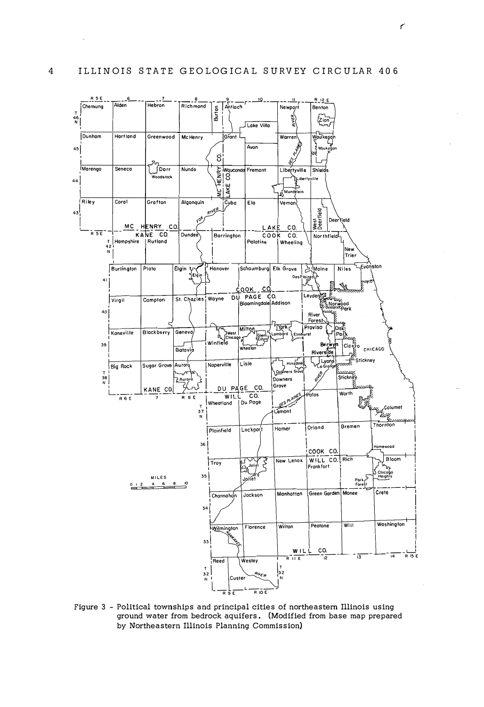

Figure 3 - Political townships and principal cities of northeastern Illinois using ground water from bedrock aquifers. (Modified from base map prepared by Northeastern Illinois Planning Commission)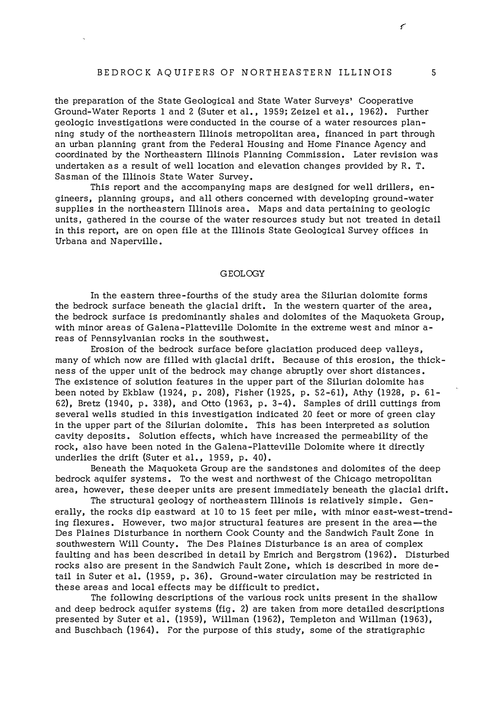# BEDROCK AQUIFERS OF NORTHEASTERN ILLINOIS 5

the preparation of the State Geological and State Water Surveys' Cooperative Ground-Water Reports 1 and 2 (Suter et al., 1959; Zeizel et al., 1962). Further geologic investigations were conducted in the course of a water resources planning study of the northeastern Illinois metropolitan area, financed in part through an urban planning grant from the Federal Housing and Home Finance Agency and coordinated by the Northeastern Illinois Planning Commission. Later revision was undertaken as a result of well location and elevation changes provided by R. T. Sasman of the Illinois State Water Survey.

This report and the accompanying maps are designed for well drillers, engineers, planning groups, and all others concerned with developing ground-water supplies in the northeastern Illinois area. Maps and data pertaining to geologic units, gathered in the course of the water resources study but not treated in detail in this report, are on open file at the Illinois State Geological Survey offices in Urbana and Naperville.

## GEOLOGY

In the eastern three-fourths of the study area the Silurian dolomite forms the bedrock surface beneath the glacial drift. In the western quarter of the area, the bedrock surface is predominantly shales and dolomites of the Maquoketa Group, with minor areas of Galena-Platteville Dolomite in the extreme west and minor areas of Pennsylvanian rocks in the southwest.

Erosion of the bedrock surface before glaciation produced deep valleys, many of which now are filled with glacial drift. Because of this erosion, the thickness of the upper unit of the bedrock may change abruptly over short distances. The existence of solution features in the upper part of the Silurian dolomite has been noted by Ekblaw (1924, p. 208), Fisher (1925, p. 52 -61), Athy (1928, p. 61- 62), Bretz (1940, p. 338), and Otto (1963, p. 3-4). Samples of drill cuttings from several wells studied in this investigation indicated 20 feet or more of green clay in the upper part of the Silurian dolomite. This has been interpreted as solution cavity deposits. Solution effects, which have increased the permeability of the rock, also have been noted in the Galena-Platteville Dolomite where it directly underlies the drift (Suter et al., 1959, p. 40).

Beneath the Maquoketa Group are the sandstones and dolomites of the deep bedrock aquifer systems. To the west and northwest of the Chicago metropolitan area, however, these deeper units are present immediately beneath the glacial drift.

The structural geology of northeastern Illinois is relatively simple. Generally, the rocks dip eastward at 10 to 15 feet per mile, with minor east-west-trending flexures. However, two major structural features are present in the area—the Des Plaines Disturbance in northern Cook County and the Sandwich Fault Zone in southwestern Will County. The Des Plaines Disturbance is an area of complex faulting and has been described in detail by Emrich and Bergstrom (1962). Disturbed rocks also are present in the Sandwich Fault Zone, which is described in more detail in Suter et al. (1959, p. 36). Ground-water circulation may be restricted in these areas and local effects may be difficult to predict.

The following descriptions of the various rock units present in the shallow and deep bedrock aquifer systems {fig. 2) are taken from more detailed descriptions presented by Suter et al. (1959), Willman (1962), Templeton and Willman (1963), and Buschbach {19 64). For the purpose of this study, some of the stratigraphic

 $\mathcal{C}$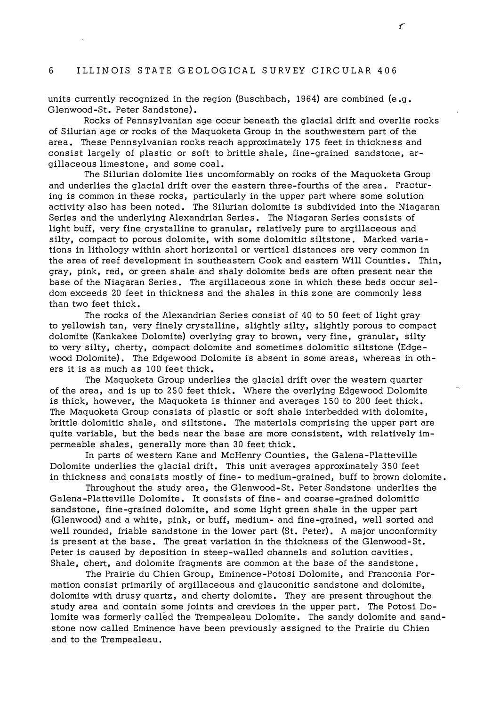## 6 ILLINOIS STATE GEOLOGICAL SURVEY CIRCULAR 406

units currently recognized in the region (Buschbach, 1964) are combined (e.g. Glenwood-St. Peter Sandstone).

Rocks of Pennsylvanian age occur beneath the glacial drift and overlie rocks of Silurian age or rocks of the Maquoketa Group in the southwestern part of the area. These Pennsylvanian rocks reach approximately 17 5 feet in thickness and consist largely of plastic or soft to brittle shale, fine-grained sandstone, argillaceous limestone, and some coal.

The Silurian dolomite lies uncomformably on rocks of the Maquoketa Group and underlies the glacial drift over the eastern three-fourths of the area. Fracturing is common in these rocks, particularly in the upper part where some solution activity also has been noted. The Silurian dolomite is subdivided into the Niagaran Series and the underlying Alexandrian Series. The Niagaran Series consists of light buff, very fine crystalline to granular, relatively pure to argillaceous and silty, compact to porous dolomite, with some dolomitic siltstone. Marked variations in lithology within short horizontal or vertical distances are very common in the area of reef development in southeastern Cook and eastern Will Counties. Thin, gray, pink, red, or green shale and shaly dolomite beds are often present near the base of the Niagaran Series. The argillaceous zone in which these beds occur seldom exceeds 20 feet in thickness and the shales in this zone are commonly less than two feet thick.

The rocks of the Alexandrian Series consist of 40 to 50 feet of light gray to yellowish tan, very finely crystalline, slightly silty, slightly porous to compact dolomite (Kankakee Dolomite) overlying gray to brown, very fine, granular, silty to very silty, cherty, compact dolomite and sometimes dolomitic siltstone (Edgewood Dolomite). The Edgewood Dolomite is absent in some areas, whereas in others it is as much as 100 feet thick.

The Maquoketa Group underlies the glacial drift over the western quarter of the area, and is up to 250 feet thick. Where the overlying Edgewood Dolomite is thick, however, the Maquoketa is thinner and averages 150 to 200 feet thick. The Maquoketa Group consists of plastic or soft shale interbedded with dolomite, brittle dolomitic shale, and siltstone. The materials comprising the upper part are quite variable, but the beds near the base are more consistent, with relatively impermeable shales, generally more than 30 feet thick.

In parts of western Kane and McHenry Counties, the Galena-Platteville Dolomite underlies the glacial drift. This unit averages approximately 350 feet in thickness and consists mostly of fine- to medium-grained, buff to brown dolomite.

Throughout the study area, the Glenwood-St. Peter Sandstone underlies the Galena-Platteville Dolomite. It consists of fine- and coarse-grained dolomitic sandstone, fine-grained dolomite, and some light green shale in the upper part (Glenwood) and a white, pink, or buff, medium- and fine-grained, well sorted and well rounded, friable sandstone in the lower part (St. Peter). A major unconformity is present at the base. The great variation in the thickness of the Glenwood-St. Peter is caused by deposition in steep-walled channels and solution cavities. Shale, chert, and dolomite fragments are common at the base of the sandstone.

The Prairie du Chien Group, Eminence-Potosi Dolomite, and Franconia Formation consist primarily of argillaceous and glauconitic sandstone and dolomite, dolomite with drusy quartz, and cherty dolomite. They are present throughout the study area and contain some joints and crevices in the upper part. The Potosi Dolomite was formerly called the Trempealeau Dolomite. The sandy dolomite and sandstone now called Eminence have been previously assigned to the Prairie du Chien and to the Trempealeau.

ç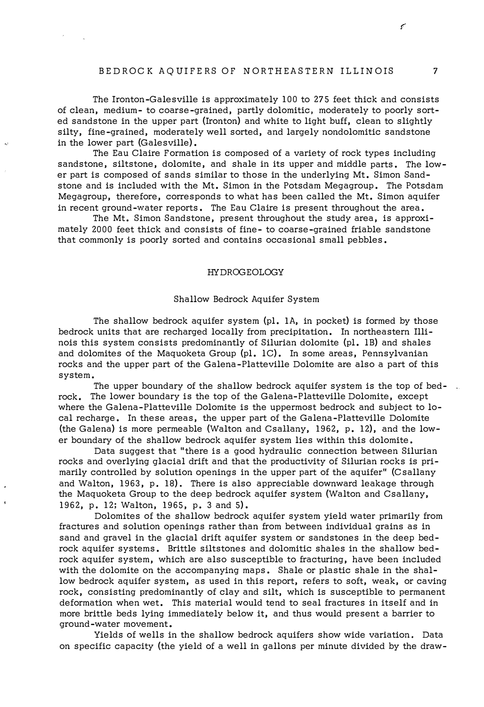## BEDROCK AQUIFERS OF NORTHEASTERN ILLINOIS 7

The Ironton-Galesville is approximately 100 to 275 feet thick and consists of clean, medium- to coarse-grained, partly dolomitic, moderately to poorly sorted sandstone in the upper part (Ironton) and white to light buff, clean to slightly silty, fine-grained, moderately well sorted, and largely nondolomitic sandstone in the lower part (Galesville).

Цý,

The Eau Claire Formation is composed of a variety of rock types including sandstone, siltstone, dolomite, and shale in its upper and middle parts. The lower part is composed of sands similar to those in the underlying Mt. Simon Sandstone and is included with the Mt. Simon in the Potsdam Megagroup. The Potsdam Megagroup, therefore, corresponds to what has been called the Mt. Simon aquifer in recent ground-water reports. The Eau Claire is present throughout the area.

The Mt. Simon Sandstone, present throughout the study area, is approximately 2000 feet thick and consists of fine- to coarse-grained friable sandstone that commonly is poorly sorted and contains occasional small pebbles.

#### HYDROGEOLOGY

#### Shallow Bedrock Aquifer System

The shallow bedrock aquifer system (pl. IA, in pocket) is formed by those bedrock units that are recharged locally from precipitation. In northeastern Illinois this system consists predominantly of Silurian dolomite (pl. l B) and shales and dolomites of the Maquoketa Group  $\text{(pl. 1C)}$ . In some areas, Pennsylvanian rocks and the upper part of the Galena-Platteville Dolomite are also a part of this system.

The upper boundary of the shallow bedrock aquifer system is the top of bedrock. The lower boundary is the top of the Galena-Platteville Dolomite, except where the Galena-Platteville Dolomite is the uppermost bedrock and subject to local recharge. In these areas, the upper part of the Galena-Platteville Dolomite (the Galena) is more permeable (Walton and CsaUany, 1962, p. 12), and the lower boundary of the shallow bedrock aquifer system lies within this dolomite.

Data suggest that "there is a good hydraulic connection between Silurian rocks and overlying glacial drift and that the productivity of Silurian rocks is primarily controlled by solution openings in the upper part of the aquifer" (Csallany and Walton, 1963, p, 18). There is also appreciable downward leakage through the Maquoketa Group to the deep bedrock aquifer system (Walton and Csallany, 1962, p, 12; Walton, 1965, p. 3 and 5).

Dolomites of the shallow bedrock aquifer system yield water primarily from fractures and solution openings rather than from between individual grains as in sand and gravel in the glacial drift aquifer system or sandstones in the deep bedrock aquifer systems. Brittle siltstones and dolomitic shales in the shallow bedrock aquifer system, which are also susceptible to fracturing, have been included with the dolomite on the accompanying maps. Shale or plastic shale in the shallow bedrock aquifer system, as used in this report, refers to soft, weak, or caving rock, consisting predominantly of clay and silt, which is susceptible to permanent deformation when wet. This material would tend to seal fractures in itself and in more brittle beds lying immediately below it, and thus would present a barrier to ground-water movement.

Yields of wells in the shallow bedrock aquifers show wide variation. Data on specific capacity (the yield of a well in gallons per minute divided by the draw-

 $\epsilon$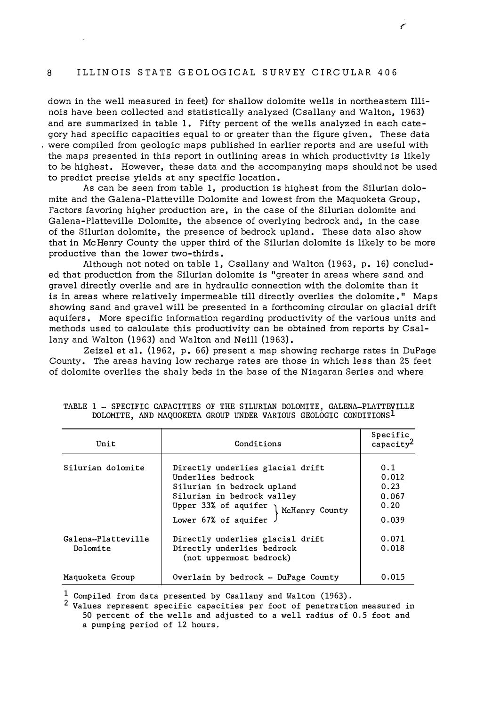# 8 ILLINOIS STATE GEOL OGICAL SURVEY CIRCULAR 406

down in the well measured in feet) for shallow dolomite wells in northeastern Illinois have been collected and statistically analyzed (Csallany and Walton, 1963) and are summarized in table 1. Fifty percent of the wells analyzed in each category had specific capacities equal to or greater than the figure given. These data were compiled from geologic maps published in earlier reports and are useful with the maps presented in this report in outlining areas in which productivity is likely to be highest. However, these data and the accompanying maps should not be used to predict precise yields at any specific location.

As can be seen from table 1, production is highest from the Silurian dolomite and the Galena-Platteville Dolomite and lowest from the Maquoketa Group. Factors favoring higher production are, in the case of the Silurian dolomite and Galena-Platteville Dolomite, the absence of overlying bedrock and, in the case of the Silurian dolomite, the presence of bedrock upland. These data also show that in McHenry County the upper third of the Silurian dolomite is likely to be more productive than the lower two-thirds.

Although not noted on table 1, Csallany and Walton (1963, p. 16) concluded that production from the Silurian dolomite is "greater in areas where sand and gravel directly overlie and are in hydraulic connection with the dolomite than it is in areas where relatively impermeable till directly overlies the dolomite. " Maps showing sand and gravel will be presented in a forthcoming circular on glacial drift aquifers. More specific information regarding productivity of the various units and methods used to calculate this productivity can be obtained from reports by Csallany and Walton (1963) and Walton and Neill (1963).

Zeizel et al. (1962, p. 66) present a map showing recharge rates in DuPage County. The areas having low recharge rates are those in which less than 25 feet of dolomite overlies the shaly beds in the base of the Niagaran Series and where

| Unit                           | Conditions                                                                                                                                                                              | Specific<br>capacity <sup>2</sup>              |
|--------------------------------|-----------------------------------------------------------------------------------------------------------------------------------------------------------------------------------------|------------------------------------------------|
| Silurian dolomite              | Directly underlies glacial drift<br>Underlies bedrock<br>Silurian in bedrock upland<br>Silurian in bedrock valley<br>Upper 33% of aquifer $\int$ McHenry County<br>Lower 67% of aquifer | 0.1<br>0.012<br>0.23<br>0.067<br>0.20<br>0.039 |
| Galena-Platteville<br>Dolomite | Directly underlies glacial drift<br>Directly underlies bedrock<br>(not uppermost bedrock)                                                                                               | 0.071<br>0.018                                 |
| Maquoketa Group                | Overlain by bedrock - DuPage County                                                                                                                                                     | 0.015                                          |

### TABLE 1 - SPECIFIC CAPACITIES OF THE SILURIAN DOLOMITE, GALENA-PLATTEVILLE DOLOMITE, AND MAQUOKETA GROUP UNDER VARIOUS GEOLOGIC CONDITIONS<sup>1</sup>

 $1$  Compiled from data presented by Csallany and Walton (1963).

<sup>2</sup> Values represent specific capacities per foot of penetration measured in 50 percent of the wells and adjusted to a well radius of 0.5 foot and a pumping period of 12 hours.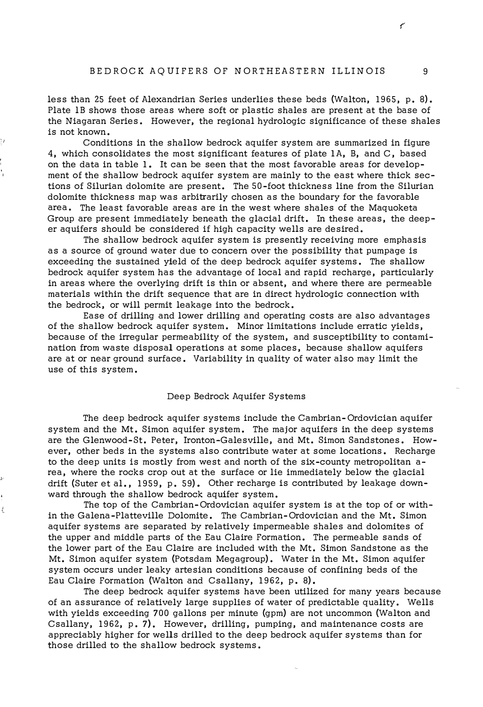less than 25 feet of Alexandrian Series underlies these beds {Walton, 1965, p. 8). Plate lB shows those areas where soft or plastic shales are present at the base of the Niagaran Series. However, the regional hydrologic significance of these shales is not known.

'1

,�.

₹.

Conditions in the shallow bedrock aquifer system are summarized in figure 4, which consolidates the most significant features of plate IA, B, and C, based on the data in table 1. It can be seen that the most favorable areas for development of the shallow bedrock aquifer system are mainly to the east where thick sections of Silurian dolomite are present. The SO-foot thickness line from the Silurian dolomite thickness map was arbitrarily chosen as the boundary for the favorable area. The least favorable areas are in the west where shales of the Maquoketa Group are present immediately beneath the glacial drift. In these areas, the deeper aquifers should be considered if high capacity wells are desired.

The shallow bedrock aquifer system is presently receiving more emphasis as a source of ground water due to concern over the possibility that pumpage is exceeding the sustained yield of the deep bedrock aquifer systems. The shallow bedrock aquifer system has the advantage of local and rapid recharge, particularly in areas where the overlying drift is thin or absent, and where there are permeable materials within the drift sequence that are in direct hydrologic connection with the bedrock, or will permit leakage into the bedrock.

Ease of drilling and lower drilling and operating costs are also advantages of the shallow bedrock aquifer system. Minor limitations include erratic yields, because of the irregular permeability of the system, and susceptibility to contamination from waste disposal operations at some places, because shallow aquifers are at or near ground surface. Variability in quality of water also may limit the use of this system.

#### Deep Bedrock Aquifer Systems

The deep bedrock aquifer systems include the Cambrian-Ordovician aquifer system and the Mt. Simon aquifer system. The major aquifers in the deep systems are the Glenwood-St. Peter, Ironton-Galesville, and Mt. Simon Sandstones. However, other beds in the systems also contribute water at some locations. Recharge to the deep units is mostly from west and north of the six-county metropolitan area, where the rocks crop out at the surface or lie immediately below the glacial drift {Suter et al. , 1959, p. 59). Other recharge is contributed by leakage downward through the shallow bedrock aquifer system.

The top of the Cambrian-Ordovician aquifer system is at the top of or within the Galena-Platteville Dolomite. The Cambrian-Ordovician and the Mt. Simon aquifer systems are separated by relatively impermeable shales and dolomites of the upper and middle parts of the Eau Claire Formation. The permeable sands of the lower part of the Eau Claire are included with the Mt. Simon Sandstone as the Mt. Simon aquifer system {Potsdam Megagroup). Water in the Mt. Simon aquifer system occurs under leaky artesian conditions because of confining beds of the Eau Claire Formation {Walton and Csallany, 1962, p. 8).

The deep bedrock aquifer systems have been utilized for many years because of an assurance of relatively large supplies of water of predictable quality. Wells with yields exceeding 700 gallons per minute {gpm) are not uncommon {Walton and Csallany, 1962, p. 7). However, drilling, pumping, and maintenance costs are appreciably higher for wells drilled to the deep bedrock aquifer systems than for those drilled to the shallow bedrock systems.

ç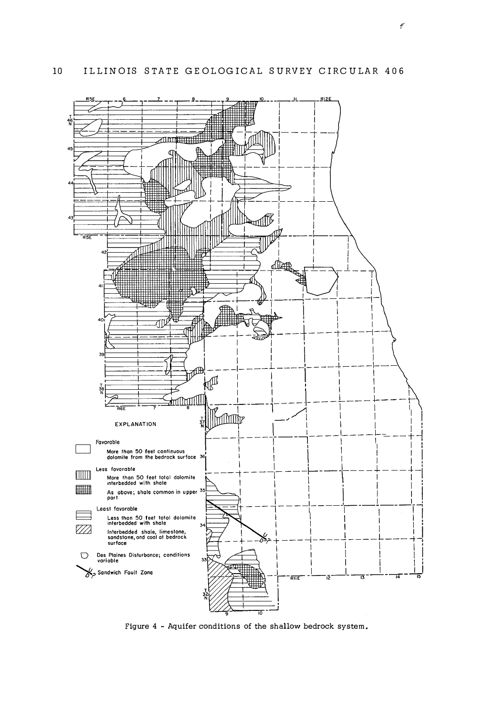

Figure 4 - Aquifer conditions of the shallow bedrock system.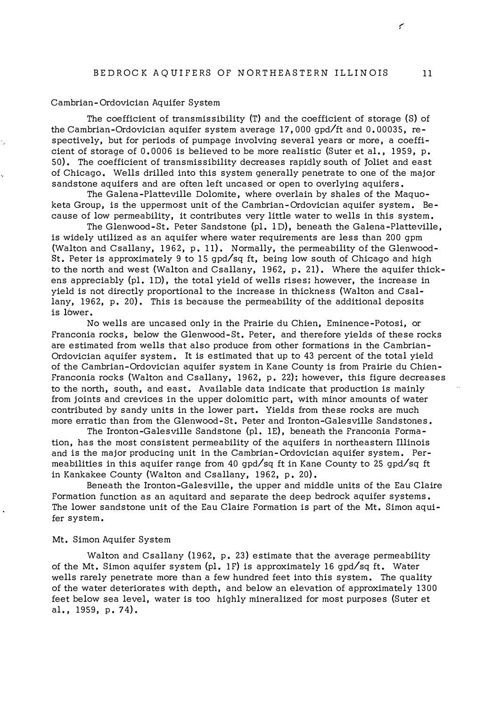#### Cambrian-Ordovician Aquifer System

The coefficient of transmissibility (T) and the coefficient of storage (S) of the Cambrian-Ordovician aquifer system average 17, 000 gpd/ft and 0. 00035, respectively, but for periods of pumpage involving several years or more, a coefficient of storage of  $0.0006$  is believed to be more realistic (Suter et al., 1959, p. 50). The coefficient of transmissibility decreases rapidly south of Joliet and east of Chicago. Wells drilled into this system generally penetrate to one of the major sandstone aquifers and are often left uncased or open to overlying aquifers.

The Galena-Platteville Dolomite, where overlain by shales of the Maquoketa Group, is the uppermost unit of the Cambrian-Ordovician aquifer system. Because of low permeability, it contributes very little water to wells in this system.

The Glenwood-St. Peter Sandstone (pl. lD), beneath the Galena-Platteville, is widely utilized as an aquifer where water requirements are less than 200 gpm (Walton and Csallany, 1962, p. 11). Normally, the permeability of the Glenwood-St. Peter is approximately 9 to 15 gpd/sq ft, being low south of Chicago and high to the north and west (Walton and Csallany, 1962, p. 21). Where the aquifer thickens appreciably (pl. ID), the total yield of wells rises; however, the increase in yield is not directly proportional to the increase in thickness (Walton and Csallany, 1962, p. 20). This is because the permeability of the additional deposits is 16wer.

No wells are uncased only in the Prairie du Chien, Eminence-Potosi, or Franconia rocks, below the Glenwood-St. Peter, and therefore yields of these rocks are estimated from wells that also produce from other formations in the Cambrian-Ordovician aquifer system. It is estimated that up to 43 percent of the total yield of the Cambrian-Ordovician aquifer system in Kane County is from Prairie du Chien-Franconia rocks (Walton and Csallany, 1962, p, 22); however, this figure decreases to the north, south, and east. Available data indicate that production is mainly from joints and crevices in the upper dolomitic part, with minor amounts of water contributed by sandy units in the lower part, Yields from these rocks are much more erratic than from the Glenwood-St. Peter and Ironton-Galesville Sandstones.

The Ironton-Galesville Sandstone (pl. IE), beneath the Franconia Formation, has the most consistent permeability of the aquifers in northeastern Illinois and is the major producing unit in the Cambrian-Ordovician aquifer system. Permeabilities in this aquifer range from 40 gpd/sq ft in Kane County to 25 gpd/sq ft in Kankakee County (Walton and Csallany, 1962, p. 20).

Beneath the Ironton-Galesville, the upper and middle units of the Eau Claire Formation function as an aquitard and separate the deep bedrock aquifer systems. The lower sandstone unit of the Eau Claire Formation is part of the Mt. Simon aquifer system.

#### Mt. Simon Aquifer System

Walton and Csallany (1962, p. 23) estimate that the average permeability of the Mt. Simon aquifer system (pl. 1F) is approximately 16 qpd/sq ft. Water wells rarely penetrate more than a few hundred feet into this system. The quality of the water deteriorates with depth, and below an elevation of approximately 1300 feet below sea level, water is too highly mineralized for most purposes (Suter et al. , 1959, p. 74).

€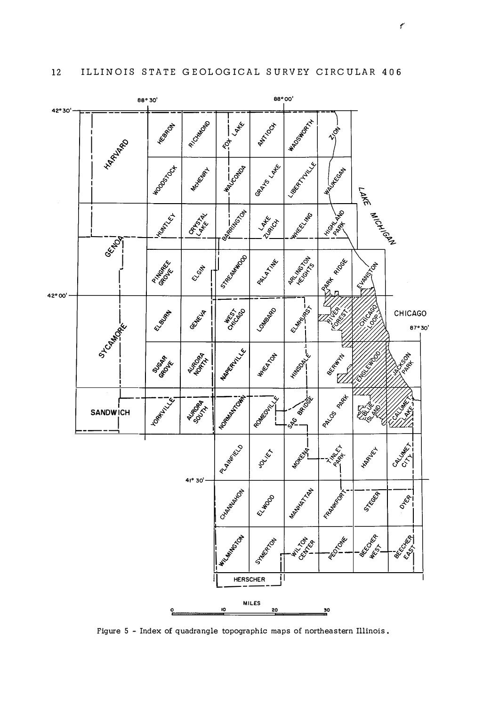

Figure 5 - Index of quadrangle topographic maps of northeastern Illinois.

 $\mathcal{C}$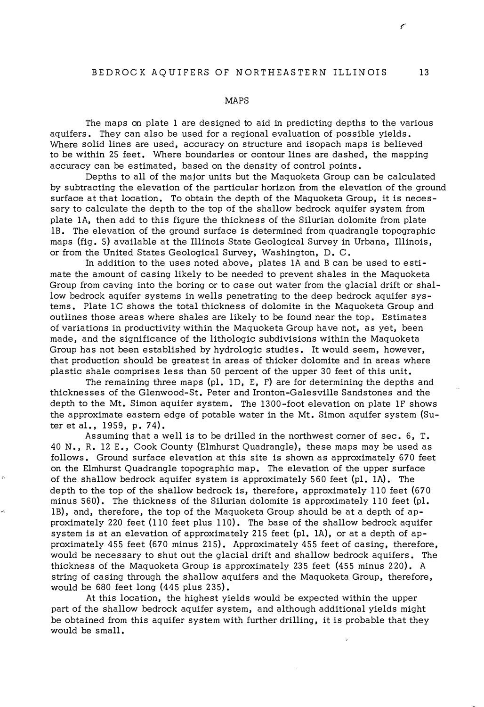#### MAPS

The maps on plate 1 are designed to aid in predicting depths to the various aquifers. They can also be used for a regional evaluation of possible yields. Where solid lines are used, accuracy on structure and isopach maps is believed to be within 25 feet. Where boundaries or contour lines are dashed, the mapping accuracy can be estimated, based on the density of control points.

Depths to all of the major units but the Maquoketa Group can be calculated by subtracting the elevation of the particular horizon from the elevation of the ground surface at that location. To obtain the depth of the Maquoketa Group, it is necessary to calculate the depth to the top of the shallow bedrock aquifer system from plate IA, then add to this figure the thickness of the Silurian dolomite from plate lB. The elevation of the ground surface is determined from quadrangle topographic maps (fig. 5) available at the Illinois State Geological Survey in Urbana, Illinois, or from the United States Geological Survey, Washington, D. C.

In addition to the uses noted above, plates IA and B can be used to estimate the amount of casing likely to be needed to prevent shales in the Maquoketa Group from caving into the boring or to case out water from the glacial drift or shallow bedrock aquifer systems in wells penetrating to the deep bedrock aquifer systems. Plate IC shows the total thickness of dolomite in the Maquoketa Group and outlines those areas where shales are likely to be found near the top. Estimates of variations in productivity within the Maquoketa Group have not, as yet, been made, and the significance of the lithologic subdivisions within the Maquoketa Group has not been established by hydrologic studies. It would seem, however, that production should be greatest in areas of thicker dolomite and in areas where plastic shale comprises less than 50 percent of the upper 30 feet of this unit.

The remaining three maps (pl. ID, E, F) are for determining the depths and thicknesses of the Glenwood-St. Peter and Ironton-Galesville Sandstones and the depth to the Mt. Simon aquifer system. The 1300-foot elevation on plate IF shows the approximate eastern edge of potable water in the Mt. Simon aquifer system (Suter et al., 1959, p. 74).

Assuming that a well is to be drilled in the northwest corner of sec. 6, T. 40 N. , R. 12 E., Cook County (Elmhurst Quadrangle), these maps may be used as follows. Ground surface elevation at this site is shown as approximately 670 feet on the Elmhurst Quadrangle topographic map. The elevation of the upper surface of the shallow bedrock aquifer system is approximately 560 feet (pl. IA). The depth to the top of the shallow bedrock is, therefore, approximately 110 feet (670 minus 560). The thickness of the Silurian dolomite is approximately 110 feet (pl. lB), and, therefore, the top of the Maquoketa Group should be at a depth of approximately 220 feet (110 feet plus 110). The base of the shallow bedrock aquifer system is at an elevation of approximately 215 feet (pl. 1A), or at a depth of approximately 455 feet (670 minus 215). Approximately 455 feet of casing, therefore, would be necessary to shut out the glacial drift and shallow bedrock aquifers. The thickness of the Maquoketa Group is approximately 235 feet (455 minus 220). A string of casing through the shallow aquifers and the Maquoketa Group, therefore, would be 680 feet long (445 plus 235).

At this location, the highest yields would be expected within the upper part of the shallow bedrock aquifer system, and although additional yields might be obtained from this aquifer system with further drilling, it is probable that they would be small.

¢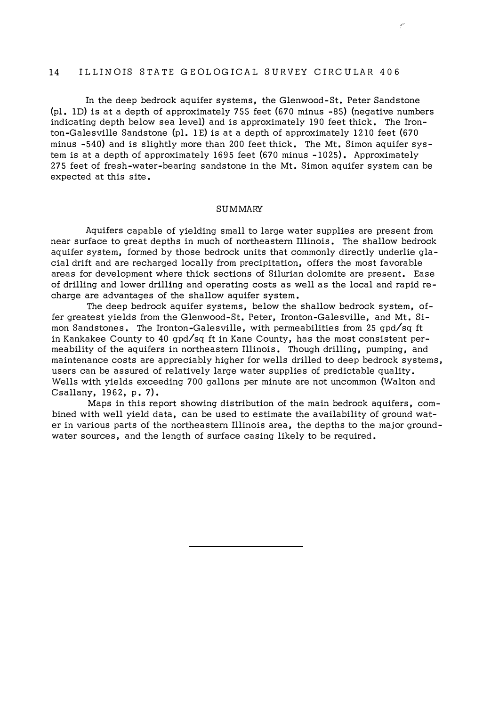# 14 ILLINOIS STATE GEOLOGICAL SURVEY CIRCULAR 406

In the deep bedrock aquifer systems, the Glenwood-St. Peter Sandstone (pl. ID) is at a depth of approximately 755 feet (670 minus -85) (negative numbers indicating depth below sea level) and is approximately I90 feet thick. The Ironton-Galesville Sandstone (pl. IE) is at a depth of approximately 12 10 feet (670 minus -540) and is slightly more than 200 feet thick. The Mt. Simon aquifer system is at a depth of approximately I695 feet (670 minus -1025). Approximately 275 feet of fresh-water-bearing sandstone in the Mt. Simon aquifer system can be expected at this site.

## SUMMARY

Aquifers capable of yielding small to large water supplies are present from near surface to great depths in much of northeastern Illinois. The shallow bedrock aquifer system, formed by those bedrock units that commonly directly underlie glacial drift and are recharged locally from precipitation, offers the most favorable areas for development where thick sections of Silurian dolomite are present. Ease of drilling and lower drilling and operating costs as well as the local and rapid recharge are advantages of the shallow aquifer system.

The deep bedrock aquifer systems, below the shallow bedrock system, offer greatest yields from the Glenwood-St. Peter, Ironton-Galesville, and Mt. Simon Sandstones. The Ironton-Galesville, with permeabilities from 25 gpd/sq ft in Kankakee County to 40 gpd/sq ft in Kane County, has the most consistent permeability of the aquifers in northeastern Illinois. Though drilling, pumping, and maintenance costs are appreciably higher for wells drilled to deep bedrock systems, users can be assured of relatively large water supplies of predictable quality, Wells with yields exceeding 700 gallons per minute are not uncommon (Walton and Csallany, I962, p. 7).

Maps in this report showing distribution of the main bedrock aquifers, combined with well yield data, can be used to estimate the availability of ground water in various parts of the northeastern Illinois area, the depths to the major groundwater sources, and the length of surface casing likely to be required.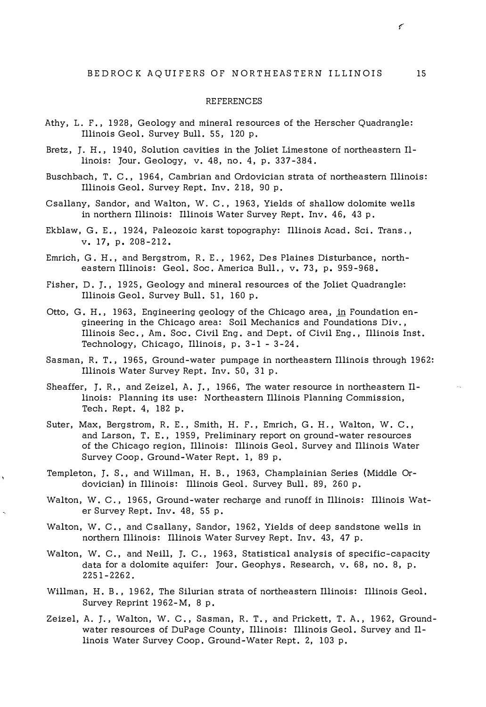#### REFERENCES

- Athy, L. F., 1928, Geology and mineral resources of the Herscher Quadrangle: Illinois Geol. Survey Bull. 55, 120 p.
- Bretz, J. H., 1940, Solution cavities in the Joliet Limestone of northeastern Illinois: Jour. Geology, v. 48, no. 4, p. 337-384.
- Buschbach, T. C., 1964, Cambrian and Ordovician strata of northeastern Illinois: Illinois Geol. Survey Rept. Inv. 218, 90 p.
- Csallany, Sandor, and Walton, W. C., 1963, Yields of shallow dolomite wells in northern Illinois: Illinois Water Survey Rept. Inv. 46, 43 p.
- Ekblaw, G. E., 1924, Paleozoic karst topography: Illinois Acad. Sci. Trans., v. 17, p. 208-212.
- Emrich, G. H., and Bergstrom, R. E., 1962, Des Plaines Disturbance, northeastern Illinois: Geol. Soc. America Bull., v. 73, p. 959-968.
- Fisher, D. J., 1925, Geology and mineral resources of the Joliet Quadrangle: Illinois Geol. Survey Bull. 51, 160 p.
- Otto, G. H., 1963, Engineering geology of the Chicago area, in Foundation engineering in the Chicago area: Soil Mechanics and Foundations Div., Illinois Sec. , Am. Soc. Civil Eng. and Dept. of Civil Eng., Illinois Inst. Technology, Chicago, Illinois, p. 3-1 - 3-24.
- Sasman, R. T., 1965, Ground-water pumpage in northeastern Illinois through 1962: Illinois Water Survey Rept. Inv. 50, 31 p.
- Sheaffer, J. R., and Zeizel, A. J., 1966, The water resource in northeastern Illinois: Planning its use: Northeastern Illinois Planning Commission, Tech. Rept. 4, 182 p.
- Suter, Max, Bergstrom, R. E., Smith, H. F., Emrich, G. H., Walton, W. C., and Larson, T. E., 1959, Preliminary report on ground-water resources of the Chicago region, Illinois: Illinois Geol. Survey and Illinois Water Survey Coop. Ground-Water Rept. 1, 89 p.
- Templeton, J. S., and Willman, H. B., 1963, Champlainian Series (Middle Ordovician) in Illinois: Illinois Geol. Survey Bull. 89, 260 p.
- Walton, W. C., 1965, Ground-water recharge and runoff in Illinois: Illinois Water Survey Rept. Inv. 48, 55 p.
- Walton, W. C., and Csallany, Sandor, 1962, Yields of deep sandstone wells in northern Illinois: Illinois Water Survey Rept. Inv. 43, 47 p.
- Walton, W. C., and Neill, J. C., 1963, Statistical analysis of specific-capacity data for a dolomite aquifer: Jour. Geophys. Research, v. 68, no. 8, p. 2251-2262.
- Willman, H. B., 1962, The Silurian strata of northeastern Illinois: Illinois Geol. Survey Reprint 1962-M, 8 p.
- Zeizel, A. J., Walton, W. C., Sasman, R. T., and Prickett, T. A., 1962, Groundwater resources of DuPage County, Illinois: Illinois Geol. Survey and Illinois Water Survey Coop. Ground-Water Rept. 2, 103 p.

سمج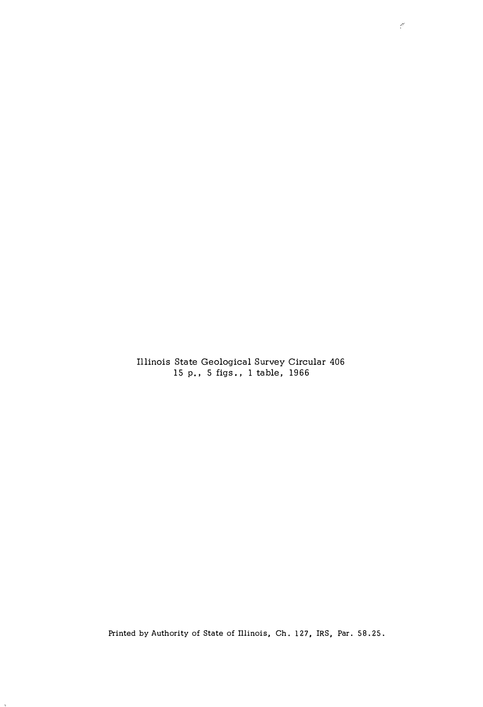Illinois State Geological Survey Circular 406 15 p., 5 figs. , 1 table, 1966

Printed by Authority of State of Illinois, Ch. 127, IRS, Par. 58.25.